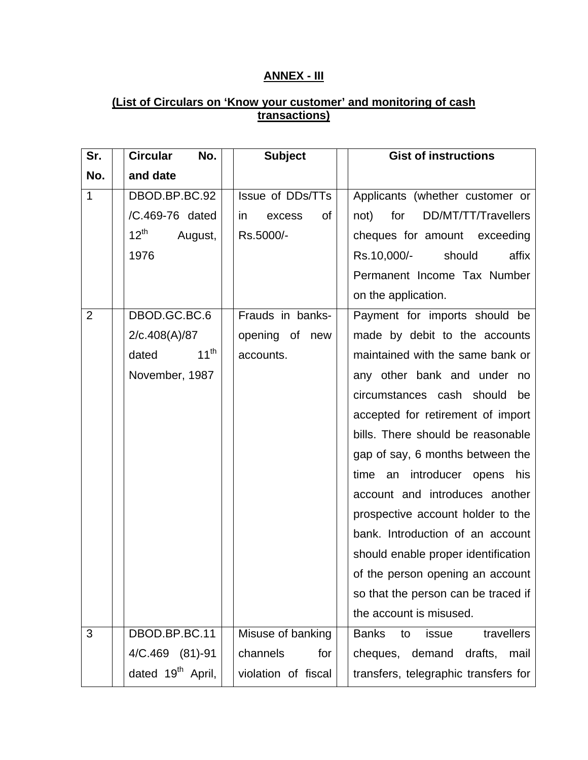## **ANNEX - III**

## **(List of Circulars on 'Know your customer' and monitoring of cash transactions)**

| Sr.            | No.<br><b>Circular</b>        | <b>Subject</b>      | <b>Gist of instructions</b>               |
|----------------|-------------------------------|---------------------|-------------------------------------------|
| No.            | and date                      |                     |                                           |
| $\mathbf{1}$   | DBOD.BP.BC.92                 | Issue of DDs/TTs    | Applicants (whether customer or           |
|                | /C.469-76 dated               | in<br>οf<br>excess  | for<br>DD/MT/TT/Travellers<br>not)        |
|                | $12^{\text{th}}$<br>August,   | Rs.5000/-           | cheques for amount exceeding              |
|                | 1976                          |                     | Rs.10,000/-<br>should<br>affix            |
|                |                               |                     | Permanent Income Tax Number               |
|                |                               |                     | on the application.                       |
| $\overline{2}$ | DBOD.GC.BC.6                  | Frauds in banks-    | Payment for imports should be             |
|                | 2/c.408(A)/87                 | opening of new      | made by debit to the accounts             |
|                | $11^{th}$<br>dated            | accounts.           | maintained with the same bank or          |
|                | November, 1987                |                     | any other bank and under no               |
|                |                               |                     | circumstances cash should<br>be           |
|                |                               |                     | accepted for retirement of import         |
|                |                               |                     | bills. There should be reasonable         |
|                |                               |                     | gap of say, 6 months between the          |
|                |                               |                     | time an introducer opens his              |
|                |                               |                     | account and introduces another            |
|                |                               |                     | prospective account holder to the         |
|                |                               |                     | bank. Introduction of an account          |
|                |                               |                     | should enable proper identification       |
|                |                               |                     | of the person opening an account          |
|                |                               |                     | so that the person can be traced if       |
|                |                               |                     | the account is misused.                   |
| 3              | DBOD.BP.BC.11                 | Misuse of banking   | travellers<br><b>Banks</b><br>issue<br>to |
|                | 4/C.469 (81)-91               | channels<br>for     | cheques, demand<br>drafts,<br>mail        |
|                | dated 19 <sup>th</sup> April, | violation of fiscal | transfers, telegraphic transfers for      |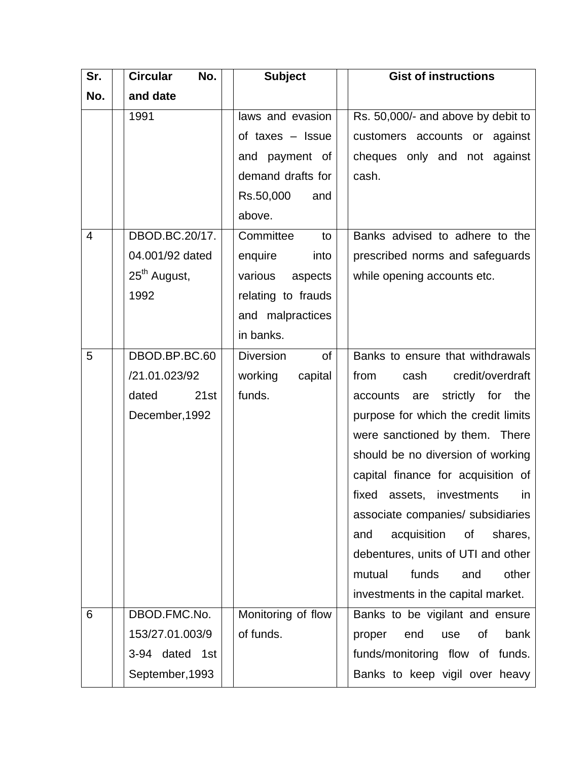| Sr.            | <b>Circular</b><br>No.   | <b>Subject</b>         | <b>Gist of instructions</b>            |
|----------------|--------------------------|------------------------|----------------------------------------|
| No.            | and date                 |                        |                                        |
|                | 1991                     | laws and evasion       | Rs. 50,000/- and above by debit to     |
|                |                          | of taxes $-$ Issue     | customers accounts or against          |
|                |                          | and payment of         | cheques only and not against           |
|                |                          | demand drafts for      | cash.                                  |
|                |                          | Rs.50,000<br>and       |                                        |
|                |                          | above.                 |                                        |
| $\overline{4}$ | DBOD.BC.20/17.           | Committee<br>to        | Banks advised to adhere to the         |
|                | 04.001/92 dated          | enquire<br>into        | prescribed norms and safeguards        |
|                | 25 <sup>th</sup> August, | various<br>aspects     | while opening accounts etc.            |
|                | 1992                     | relating to frauds     |                                        |
|                |                          | and malpractices       |                                        |
|                |                          | in banks.              |                                        |
| 5              | DBOD.BP.BC.60            | <b>Diversion</b><br>of | Banks to ensure that withdrawals       |
|                | /21.01.023/92            | working<br>capital     | credit/overdraft<br>from<br>cash       |
|                | 21st<br>dated            | funds.                 | strictly for<br>the<br>accounts<br>are |
|                | December, 1992           |                        | purpose for which the credit limits    |
|                |                          |                        | were sanctioned by them. There         |
|                |                          |                        | should be no diversion of working      |
|                |                          |                        | capital finance for acquisition of     |
|                |                          |                        | fixed<br>assets. investments in        |
|                |                          |                        | associate companies/ subsidiaries      |
|                |                          |                        | acquisition<br>of<br>shares,<br>and    |
|                |                          |                        | debentures, units of UTI and other     |
|                |                          |                        | funds<br>other<br>mutual<br>and        |
|                |                          |                        | investments in the capital market.     |
| 6              | DBOD.FMC.No.             | Monitoring of flow     | Banks to be vigilant and ensure        |
|                | 153/27.01.003/9          | of funds.              | bank<br>proper<br>end<br>οf<br>use     |
|                | 3-94 dated 1st           |                        | funds/monitoring flow<br>of funds.     |
|                | September, 1993          |                        | Banks to keep vigil over heavy         |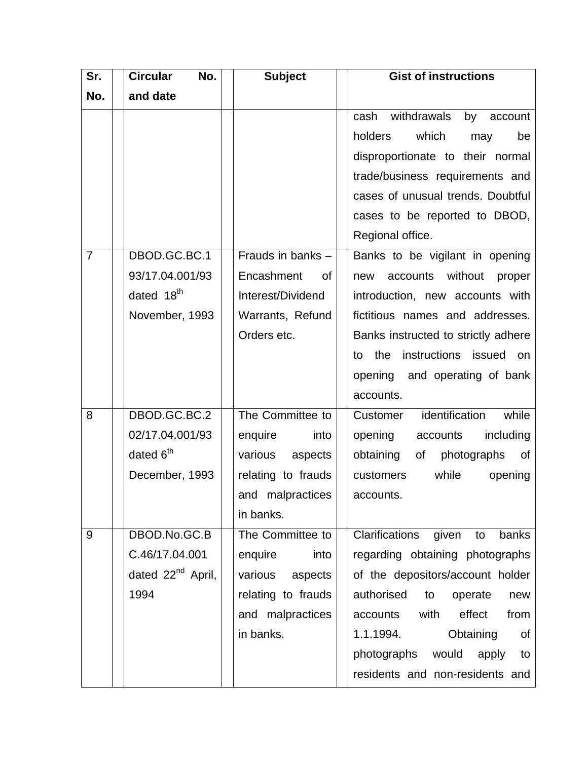| Sr.            | <b>Circular</b><br>No.        | <b>Subject</b>     | <b>Gist of instructions</b>            |
|----------------|-------------------------------|--------------------|----------------------------------------|
| No.            | and date                      |                    |                                        |
|                |                               |                    | withdrawals<br>cash<br>by<br>account   |
|                |                               |                    | holders<br>which<br>may<br>be          |
|                |                               |                    | disproportionate to their normal       |
|                |                               |                    | trade/business requirements and        |
|                |                               |                    | cases of unusual trends. Doubtful      |
|                |                               |                    | cases to be reported to DBOD,          |
|                |                               |                    | Regional office.                       |
| $\overline{7}$ | DBOD.GC.BC.1                  | Frauds in banks -  | Banks to be vigilant in opening        |
|                | 93/17.04.001/93               | Encashment<br>0f   | without<br>accounts<br>proper<br>new   |
|                | dated 18 <sup>th</sup>        | Interest/Dividend  | introduction, new accounts with        |
|                | November, 1993                | Warrants, Refund   | fictitious names and addresses.        |
|                |                               | Orders etc.        | Banks instructed to strictly adhere    |
|                |                               |                    | instructions issued on<br>the<br>to    |
|                |                               |                    | opening<br>and operating of bank       |
|                |                               |                    | accounts.                              |
| 8              | DBOD.GC.BC.2                  | The Committee to   | identification<br>while<br>Customer    |
|                | 02/17.04.001/93               | enquire<br>into    | opening<br>accounts<br>including       |
|                | dated 6 <sup>th</sup>         | various<br>aspects | obtaining<br>photographs<br>of<br>0f   |
|                | December, 1993                | relating to frauds | while<br>opening<br>customers          |
|                |                               | and malpractices   | accounts.                              |
|                |                               | in banks.          |                                        |
| 9              | DBOD.No.GC.B                  | The Committee to   | Clarifications<br>given<br>banks<br>to |
|                | C.46/17.04.001                | enquire<br>into    | regarding obtaining photographs        |
|                | dated 22 <sup>nd</sup> April, | various aspects    | of the depositors/account holder       |
|                | 1994                          | relating to frauds | authorised<br>to<br>operate<br>new     |
|                |                               | and malpractices   | with<br>effect<br>accounts<br>from     |
|                |                               | in banks.          | 1.1.1994.<br>Obtaining<br>of           |
|                |                               |                    | photographs would apply<br>to          |
|                |                               |                    | residents and non-residents and        |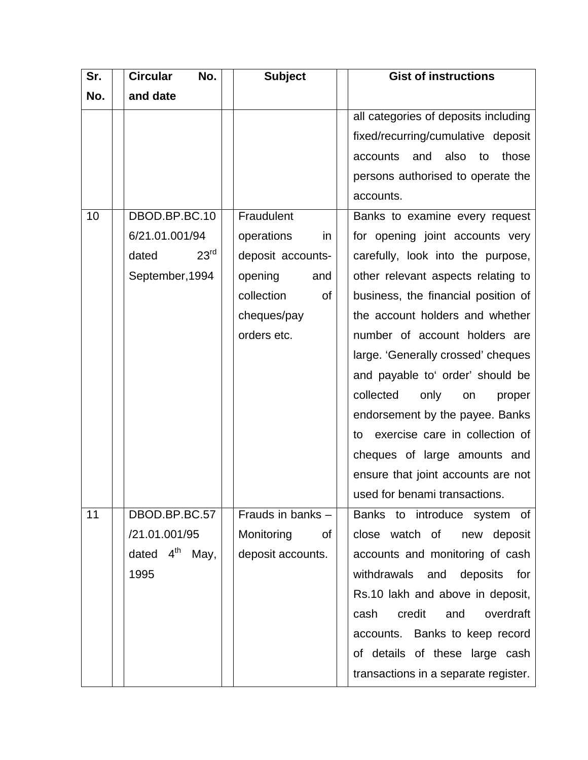| Sr. | <b>Circular</b><br>No.     | <b>Subject</b>    | <b>Gist of instructions</b>            |
|-----|----------------------------|-------------------|----------------------------------------|
| No. | and date                   |                   |                                        |
|     |                            |                   | all categories of deposits including   |
|     |                            |                   | fixed/recurring/cumulative deposit     |
|     |                            |                   | also<br>accounts<br>and<br>to<br>those |
|     |                            |                   | persons authorised to operate the      |
|     |                            |                   | accounts.                              |
| 10  | DBOD.BP.BC.10              | Fraudulent        | Banks to examine every request         |
|     | 6/21.01.001/94             | operations<br>in  | for opening joint accounts very        |
|     | 23 <sup>rd</sup><br>dated  | deposit accounts- | carefully, look into the purpose,      |
|     | September, 1994            | opening<br>and    | other relevant aspects relating to     |
|     |                            | collection<br>of  | business, the financial position of    |
|     |                            | cheques/pay       | the account holders and whether        |
|     |                            | orders etc.       | number of account holders are          |
|     |                            |                   | large. 'Generally crossed' cheques     |
|     |                            |                   | and payable to' order' should be       |
|     |                            |                   | collected<br>only<br>proper<br>on      |
|     |                            |                   | endorsement by the payee. Banks        |
|     |                            |                   | exercise care in collection of<br>to   |
|     |                            |                   | cheques of large amounts and           |
|     |                            |                   | ensure that joint accounts are not     |
|     |                            |                   | used for benami transactions.          |
| 11  | DBOD.BP.BC.57              | Frauds in banks - | Banks to introduce system of           |
|     | /21.01.001/95              | Monitoring<br>οf  | close watch of<br>deposit<br>new       |
|     | dated $4^{\text{th}}$ May, | deposit accounts. | accounts and monitoring of cash        |
|     | 1995                       |                   | withdrawals and<br>deposits<br>for     |
|     |                            |                   | Rs.10 lakh and above in deposit,       |
|     |                            |                   | credit<br>and<br>overdraft<br>cash     |
|     |                            |                   | accounts. Banks to keep record         |
|     |                            |                   | of details of these large cash         |
|     |                            |                   | transactions in a separate register.   |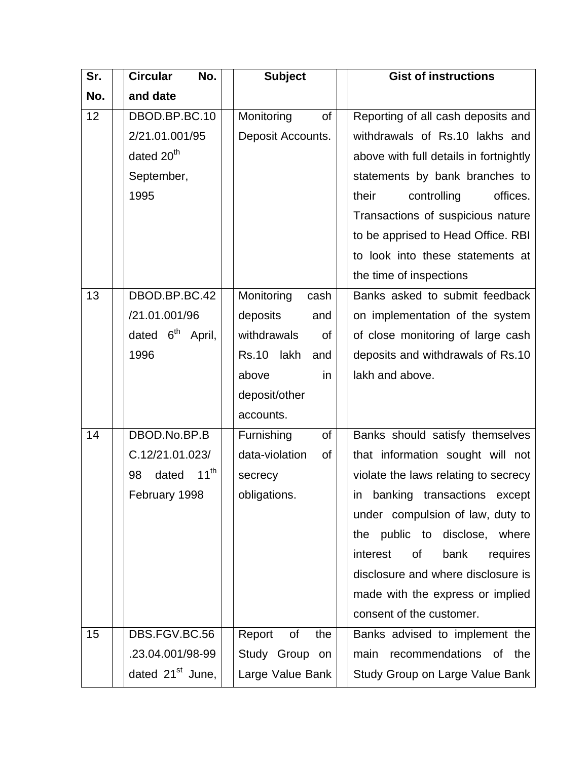| Sr. | <b>Circular</b><br>No.       | <b>Subject</b>              | <b>Gist of instructions</b>            |
|-----|------------------------------|-----------------------------|----------------------------------------|
| No. | and date                     |                             |                                        |
| 12  | DBOD.BP.BC.10                | Monitoring<br><b>of</b>     | Reporting of all cash deposits and     |
|     | 2/21.01.001/95               | Deposit Accounts.           | withdrawals of Rs.10 lakhs and         |
|     | dated 20 <sup>th</sup>       |                             | above with full details in fortnightly |
|     | September,                   |                             | statements by bank branches to         |
|     | 1995                         |                             | their<br>controlling<br>offices.       |
|     |                              |                             | Transactions of suspicious nature      |
|     |                              |                             | to be apprised to Head Office. RBI     |
|     |                              |                             | to look into these statements at       |
|     |                              |                             | the time of inspections                |
| 13  | DBOD.BP.BC.42                | Monitoring<br>cash          | Banks asked to submit feedback         |
|     | /21.01.001/96                | deposits<br>and             | on implementation of the system        |
|     | dated 6 <sup>th</sup> April, | withdrawals<br>οf           | of close monitoring of large cash      |
|     | 1996                         | <b>Rs.10</b><br>lakh<br>and | deposits and withdrawals of Rs.10      |
|     |                              | above<br>in                 | lakh and above.                        |
|     |                              | deposit/other               |                                        |
|     |                              | accounts.                   |                                        |
| 14  | DBOD.No.BP.B                 | Furnishing<br>of            | Banks should satisfy themselves        |
|     | C.12/21.01.023/              | data-violation<br>of        | that information sought will not       |
|     | $11^{th}$<br>98<br>dated     | secrecy                     | violate the laws relating to secrecy   |
|     | February 1998                | obligations.                | in banking transactions except         |
|     |                              |                             | under compulsion of law, duty to       |
|     |                              |                             | the public to disclose, where          |
|     |                              |                             | interest<br>bank<br>of<br>requires     |
|     |                              |                             | disclosure and where disclosure is     |
|     |                              |                             | made with the express or implied       |
|     |                              |                             | consent of the customer.               |
| 15  | DBS.FGV.BC.56                | Report<br>of<br>the         | Banks advised to implement the         |
|     | .23.04.001/98-99             | Study Group on              | main<br>recommendations of the         |
|     | dated 21 <sup>st</sup> June, | Large Value Bank            | Study Group on Large Value Bank        |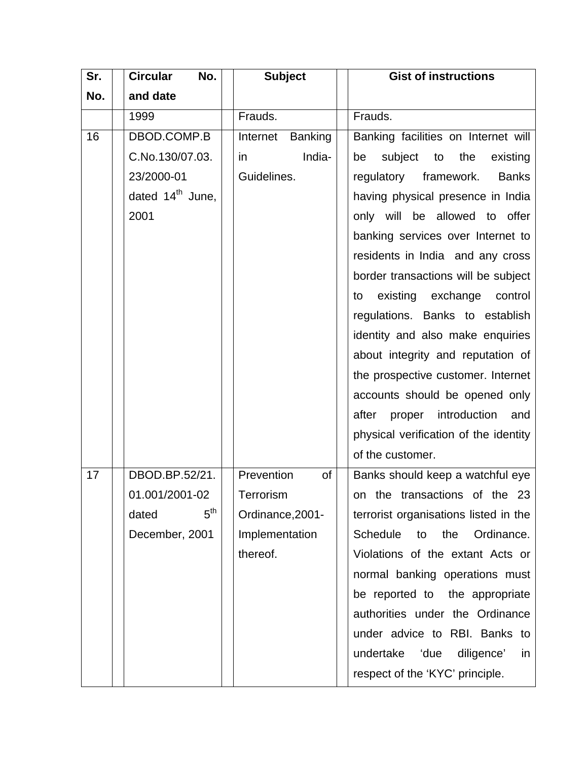| Sr. | <b>Circular</b><br>No.       | <b>Subject</b>             | <b>Gist of instructions</b>                |
|-----|------------------------------|----------------------------|--------------------------------------------|
| No. | and date                     |                            |                                            |
|     | 1999                         | Frauds.                    | Frauds.                                    |
| 16  | DBOD.COMP.B                  | Internet<br><b>Banking</b> | Banking facilities on Internet will        |
|     | C.No.130/07.03.              | India-<br>in               | subject to<br>be<br>the<br>existing        |
|     | 23/2000-01                   | Guidelines.                | regulatory framework.<br><b>Banks</b>      |
|     | dated $14^{\text{th}}$ June, |                            | having physical presence in India          |
|     | 2001                         |                            | only will be allowed to offer              |
|     |                              |                            | banking services over Internet to          |
|     |                              |                            | residents in India and any cross           |
|     |                              |                            | border transactions will be subject        |
|     |                              |                            | existing exchange control<br>to            |
|     |                              |                            | regulations. Banks to establish            |
|     |                              |                            | identity and also make enquiries           |
|     |                              |                            | about integrity and reputation of          |
|     |                              |                            | the prospective customer. Internet         |
|     |                              |                            | accounts should be opened only             |
|     |                              |                            | after proper introduction<br>and           |
|     |                              |                            | physical verification of the identity      |
|     |                              |                            | of the customer.                           |
| 17  | DBOD.BP.52/21.               | Prevention<br>of           | Banks should keep a watchful eye           |
|     | 01.001/2001-02               | Terrorism                  | on the transactions of the 23              |
|     | 5 <sup>th</sup><br>dated     | Ordinance, 2001-           | terrorist organisations listed in the      |
|     | December, 2001               | Implementation             | <b>Schedule</b><br>Ordinance.<br>the<br>to |
|     |                              | thereof.                   | Violations of the extant Acts or           |
|     |                              |                            | normal banking operations must             |
|     |                              |                            | be reported to the appropriate             |
|     |                              |                            | authorities under the Ordinance            |
|     |                              |                            | under advice to RBI. Banks to              |
|     |                              |                            | undertake 'due<br>diligence'<br>in         |
|     |                              |                            | respect of the 'KYC' principle.            |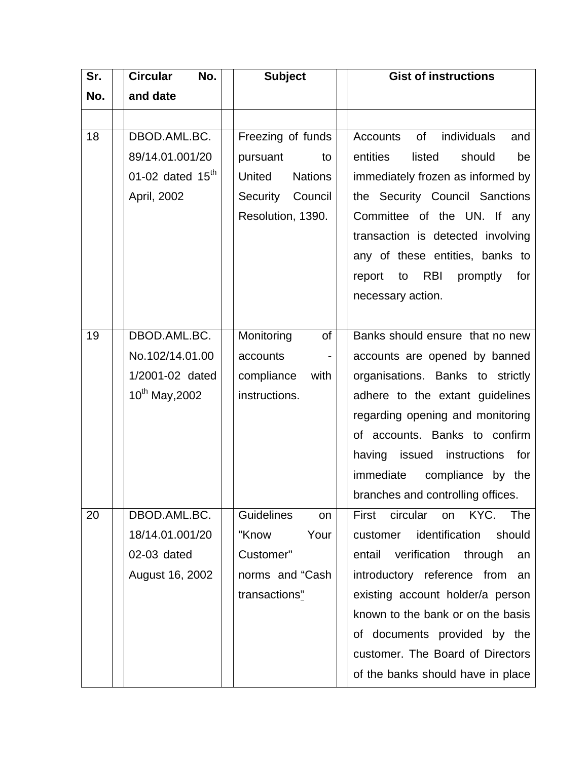| Sr. | <b>Circular</b><br>No. | <b>Subject</b>           | <b>Gist of instructions</b>              |
|-----|------------------------|--------------------------|------------------------------------------|
| No. | and date               |                          |                                          |
|     |                        |                          |                                          |
| 18  | DBOD.AML.BC.           | Freezing of funds        | of individuals<br><b>Accounts</b><br>and |
|     | 89/14.01.001/20        | pursuant<br>to           | entities<br>listed<br>should<br>be       |
|     | 01-02 dated $15th$     | United<br><b>Nations</b> | immediately frozen as informed by        |
|     | April, 2002            | Security Council         | the Security Council Sanctions           |
|     |                        | Resolution, 1390.        | Committee of the UN. If any              |
|     |                        |                          | transaction is detected involving        |
|     |                        |                          | any of these entities, banks to          |
|     |                        |                          | report to RBI promptly for               |
|     |                        |                          | necessary action.                        |
|     |                        |                          |                                          |
| 19  | DBOD.AML.BC.           | Monitoring<br><b>of</b>  | Banks should ensure that no new          |
|     | No.102/14.01.00        | accounts                 | accounts are opened by banned            |
|     | 1/2001-02 dated        | compliance<br>with       | organisations. Banks to strictly         |
|     | $10^{th}$ May, 2002    | instructions.            | adhere to the extant guidelines          |
|     |                        |                          | regarding opening and monitoring         |
|     |                        |                          | of accounts. Banks to confirm            |
|     |                        |                          | having issued instructions for           |
|     |                        |                          | immediate compliance by the              |
|     |                        |                          | branches and controlling offices.        |
| 20  | DBOD.AML.BC.           | <b>Guidelines</b><br>on  | KYC. The<br>circular on<br>First         |
|     | 18/14.01.001/20        | "Know<br>Your            | identification<br>should<br>customer     |
|     | 02-03 dated            | Customer"                | verification<br>through<br>entail<br>an  |
|     | August 16, 2002        | norms and "Cash          | introductory reference from an           |
|     |                        | transactions"            | existing account holder/a person         |
|     |                        |                          | known to the bank or on the basis        |
|     |                        |                          | of documents provided by the             |
|     |                        |                          | customer. The Board of Directors         |
|     |                        |                          | of the banks should have in place        |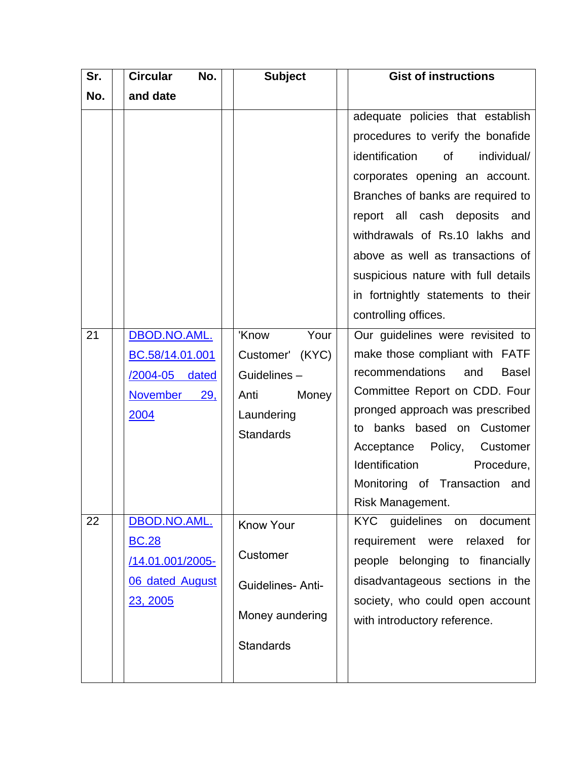| Sr. | <b>Circular</b><br>No.                                                                 | <b>Subject</b>                                                                                  | <b>Gist of instructions</b>                                                                                                                                                                                                                                                                                                                                                                    |
|-----|----------------------------------------------------------------------------------------|-------------------------------------------------------------------------------------------------|------------------------------------------------------------------------------------------------------------------------------------------------------------------------------------------------------------------------------------------------------------------------------------------------------------------------------------------------------------------------------------------------|
| No. | and date                                                                               |                                                                                                 |                                                                                                                                                                                                                                                                                                                                                                                                |
|     |                                                                                        |                                                                                                 | adequate policies that establish<br>procedures to verify the bonafide<br>identification<br>of<br>individual/<br>corporates opening an account.<br>Branches of banks are required to<br>report all cash deposits and<br>withdrawals of Rs.10 lakhs and<br>above as well as transactions of<br>suspicious nature with full details<br>in fortnightly statements to their<br>controlling offices. |
| 21  | DBOD.NO.AML.<br>BC.58/14.01.001<br><u>/2004-05</u><br>dated<br>November<br>29,<br>2004 | 'Know Your<br>Customer' (KYC)<br>Guidelines-<br>Anti<br>Money<br>Laundering<br><b>Standards</b> | Our guidelines were revisited to<br>make those compliant with FATF<br>recommendations<br><b>Basel</b><br>and<br>Committee Report on CDD. Four<br>pronged approach was prescribed<br>banks based on Customer<br>to<br>Acceptance Policy,<br>Customer<br>Identification<br>Procedure,<br>Monitoring of Transaction and<br>Risk Management.                                                       |
| 22  | DBOD.NO.AML.<br><b>BC.28</b><br>/14.01.001/2005-<br><b>06 dated August</b><br>23, 2005 | <b>Know Your</b><br>Customer<br><b>Guidelines-Anti-</b><br>Money aundering<br><b>Standards</b>  | KYC guidelines<br>document<br>on<br>requirement were<br>for<br>relaxed<br>people belonging to financially<br>disadvantageous sections in the<br>society, who could open account<br>with introductory reference.                                                                                                                                                                                |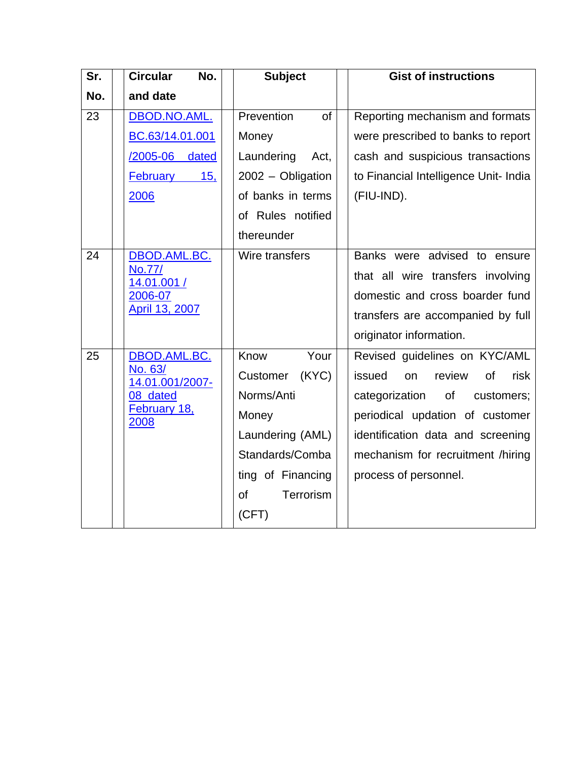| Sr. | <b>Circular</b><br>No.      | <b>Subject</b>     | <b>Gist of instructions</b>           |
|-----|-----------------------------|--------------------|---------------------------------------|
| No. | and date                    |                    |                                       |
| 23  | DBOD.NO.AML.                | Prevention<br>of   | Reporting mechanism and formats       |
|     | BC.63/14.01.001             | Money              | were prescribed to banks to report    |
|     | /2005-06<br>dated           | Laundering<br>Act, | cash and suspicious transactions      |
|     | February<br>15,             | 2002 - Obligation  | to Financial Intelligence Unit- India |
|     | 2006                        | of banks in terms  | (FIU-IND).                            |
|     |                             | of Rules notified  |                                       |
|     |                             | thereunder         |                                       |
| 24  | DBOD.AML.BC.                | Wire transfers     | Banks were advised to ensure          |
|     | No.77/<br>14.01.001 /       |                    | that all wire transfers involving     |
|     | 2006-07                     |                    | domestic and cross boarder fund       |
|     | April 13, 2007              |                    | transfers are accompanied by full     |
|     |                             |                    | originator information.               |
| 25  | DBOD.AML.BC.                | Know<br>Your       | Revised guidelines on KYC/AML         |
|     | No. 63/<br>14.01.001/2007-  | (KYC)<br>Customer  | issued<br>review<br>of<br>risk<br>on  |
|     | 08 dated                    | Norms/Anti         | categorization<br>of<br>customers;    |
|     | <b>February 18,</b><br>2008 | Money              | periodical updation of customer       |
|     |                             | Laundering (AML)   | identification data and screening     |
|     |                             | Standards/Comba    | mechanism for recruitment /hiring     |
|     |                             | ting of Financing  | process of personnel.                 |
|     |                             | Terrorism<br>οf    |                                       |
|     |                             | (CFT)              |                                       |